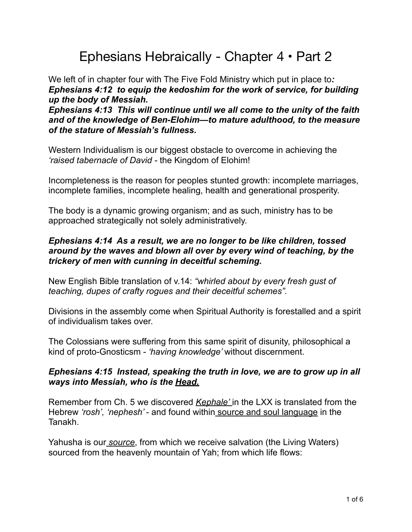# Ephesians Hebraically - Chapter 4 • Part 2

We left of in chapter four with The Five Fold Ministry which put in place to*: Ephesians 4:12 to equip the kedoshim for the work of service, for building up the body of Messiah.*

*Ephesians 4:13 This will continue until we all come to the unity of the faith and of the knowledge of Ben-Elohim—to mature adulthood, to the measure of the stature of Messiah's fullness.*

Western Individualism is our biggest obstacle to overcome in achieving the *'raised tabernacle of David -* the Kingdom of Elohim!

Incompleteness is the reason for peoples stunted growth: incomplete marriages, incomplete families, incomplete healing, health and generational prosperity.

The body is a dynamic growing organism; and as such, ministry has to be approached strategically not solely administratively.

# *Ephesians 4:14 As a result, we are no longer to be like children, tossed around by the waves and blown all over by every wind of teaching, by the trickery of men with cunning in deceitful scheming.*

New English Bible translation of v.14: *"whirled about by every fresh gust of teaching, dupes of crafty rogues and their deceitful schemes".* 

Divisions in the assembly come when Spiritual Authority is forestalled and a spirit of individualism takes over.

The Colossians were suffering from this same spirit of disunity, philosophical a kind of proto-Gnosticsm - *'having knowledge'* without discernment.

# *Ephesians 4:15 Instead, speaking the truth in love, we are to grow up in all ways into Messiah, who is the Head.*

Remember from Ch. 5 we discovered *Kephale'* in the LXX is translated from the Hebrew *'rosh', 'nephesh'* - and found within source and soul language in the Tanakh.

Yahusha is our *source*, from which we receive salvation (the Living Waters) sourced from the heavenly mountain of Yah; from which life flows: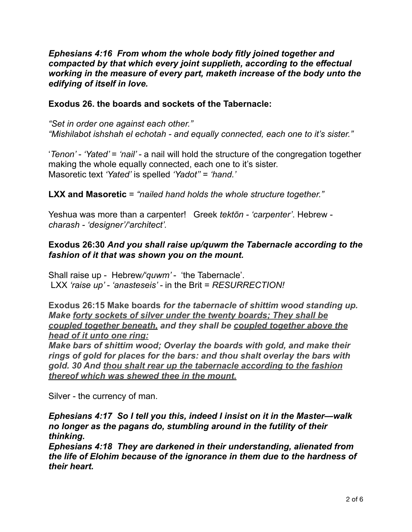#### *Ephesians 4:16 From whom the whole body fitly joined together and compacted by that which every joint supplieth, according to the effectual working in the measure of every part, maketh increase of the body unto the edifying of itself in love.*

#### **Exodus 26. the boards and sockets of the Tabernacle:**

*"Set in order one against each other." "Mishilabot ishshah el echotah - and equally connected, each one to it's sister."* 

'*Tenon' - 'Yated'* = *'nail' -* a nail will hold the structure of the congregation together making the whole equally connected, each one to it's sister. Masoretic text *'Yated'* is spelled *'Yadot''* = *'hand.'*

**LXX and Masoretic** = *"nailed hand holds the whole structure together."* 

Yeshua was more than a carpenter! Greek *tektōn - 'carpenter'*. Hebrew *charash - 'designer'/'architect'.* 

#### **Exodus 26:30** *And you shall raise up/quwm the Tabernacle according to the fashion of it that was shown you on the mount.*

Shall raise up - Hebrew*/'quwm'* - 'the Tabernacle'. LXX *'raise up' - 'anasteseis' -* in the Brit = *RESURRECTION!*

**Exodus 26:15 Make boards** *for the tabernacle of shittim wood standing up. Make forty sockets of silver under the twenty boards; They shall be coupled together beneath, and they shall be coupled together above the head of it unto one ring:* 

*Make bars of shittim wood; Overlay the boards with gold, and make their rings of gold for places for the bars: and thou shalt overlay the bars with gold. 30 And thou shalt rear up the tabernacle according to the fashion thereof which was shewed thee in the mount.* 

Silver - the currency of man.

*Ephesians 4:17 So I tell you this, indeed I insist on it in the Master—walk no longer as the pagans do, stumbling around in the futility of their thinking.*

*Ephesians 4:18 They are darkened in their understanding, alienated from the life of Elohim because of the ignorance in them due to the hardness of their heart.*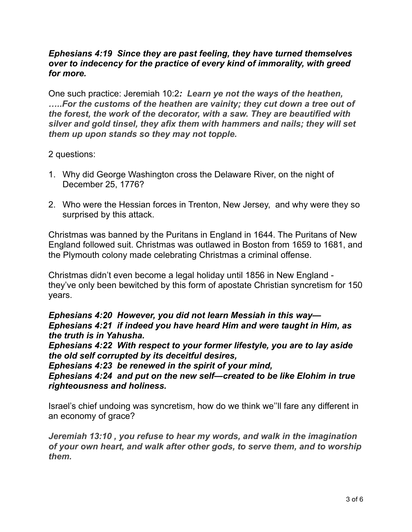#### *Ephesians 4:19 Since they are past feeling, they have turned themselves over to indecency for the practice of every kind of immorality, with greed for more.*

One such practice: Jeremiah 10:2*: Learn ye not the ways of the heathen, …..For the customs of the heathen are vainity; they cut down a tree out of the forest, the work of the decorator, with a saw. They are beautified with silver and gold tinsel, they afix them with hammers and nails; they will set them up upon stands so they may not topple.* 

#### 2 questions:

- 1. Why did George Washington cross the Delaware River, on the night of December 25, 1776?
- 2. Who were the Hessian forces in Trenton, New Jersey, and why were they so surprised by this attack.

Christmas was banned by the Puritans in England in 1644. The Puritans of New England followed suit. Christmas was outlawed in Boston from 1659 to 1681, and the Plymouth colony made celebrating Christmas a criminal offense.

Christmas didn't even become a legal holiday until 1856 in New England they've only been bewitched by this form of apostate Christian syncretism for 150 years.

*Ephesians 4:20 However, you did not learn Messiah in this way— Ephesians 4:21 if indeed you have heard Him and were taught in Him, as the truth is in Yahusha.*

*Ephesians 4:22 With respect to your former lifestyle, you are to lay aside the old self corrupted by its deceitful desires,*

*Ephesians 4:23 be renewed in the spirit of your mind,*

*Ephesians 4:24 and put on the new self—created to be like Elohim in true righteousness and holiness.*

Israel's chief undoing was syncretism, how do we think we''ll fare any different in an economy of grace?

*Jeremiah 13:10 , you refuse to hear my words, and walk in the imagination of your own heart, and walk after other gods, to serve them, and to worship them.*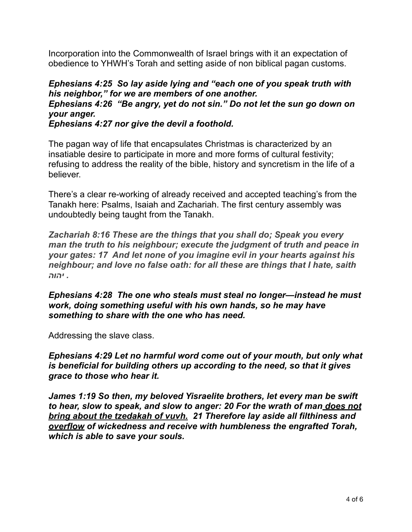Incorporation into the Commonwealth of Israel brings with it an expectation of obedience to YHWH's Torah and setting aside of non biblical pagan customs.

#### *Ephesians 4:25 So lay aside lying and "each one of you speak truth with his neighbor," for we are members of one another. Ephesians 4:26 "Be angry, yet do not sin." Do not let the sun go down on your anger. Ephesians 4:27 nor give the devil a foothold.*

The pagan way of life that encapsulates Christmas is characterized by an insatiable desire to participate in more and more forms of cultural festivity; refusing to address the reality of the bible, history and syncretism in the life of a believer.

There's a clear re-working of already received and accepted teaching's from the Tanakh here: Psalms, Isaiah and Zachariah. The first century assembly was undoubtedly being taught from the Tanakh.

*Zachariah 8:16 These are the things that you shall do; Speak you every man the truth to his neighbour; execute the judgment of truth and peace in your gates: 17 And let none of you imagine evil in your hearts against his neighbour; and love no false oath: for all these are things that I hate, saith . יהוה*

*Ephesians 4:28 The one who steals must steal no longer—instead he must work, doing something useful with his own hands, so he may have something to share with the one who has need.*

Addressing the slave class.

*Ephesians 4:29 Let no harmful word come out of your mouth, but only what is beneficial for building others up according to the need, so that it gives grace to those who hear it.*

*James 1:19 So then, my beloved Yisraelite brothers, let every man be swift to hear, slow to speak, and slow to anger: 20 For the wrath of man does not bring about the tzedakah of vuvh. 21 Therefore lay aside all filthiness and overflow of wickedness and receive with humbleness the engrafted Torah, which is able to save your souls.*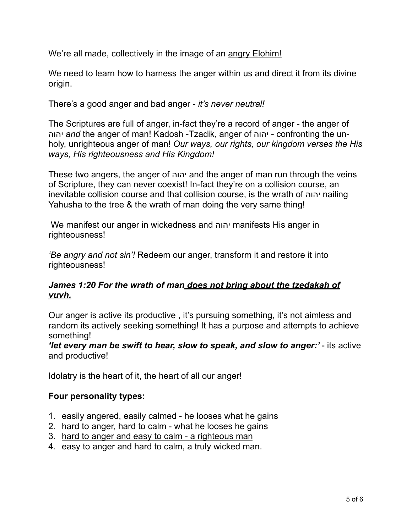We're all made, collectively in the image of an angry Elohim!

We need to learn how to harness the anger within us and direct it from its divine origin.

There's a good anger and bad anger - *it's never neutral!* 

The Scriptures are full of anger, in-fact they're a record of anger - the anger of יהוה *and* the anger of man! Kadosh -Tzadik, anger of יהוה - confronting the unholy, unrighteous anger of man! *Our ways, our rights, our kingdom verses the His ways, His righteousness and His Kingdom!* 

These two angers, the anger of יהוה and the anger of man run through the veins of Scripture, they can never coexist! In-fact they're on a collision course, an inevitable collision course and that collision course, is the wrath of יהוה nailing Yahusha to the tree & the wrath of man doing the very same thing!

 We manifest our anger in wickedness and יהוה manifests His anger in righteousness!

*'Be angry and not sin'!* Redeem our anger, transform it and restore it into righteousness!

# *James 1:20 For the wrath of man does not bring about the tzedakah of vuvh.*

Our anger is active its productive , it's pursuing something, it's not aimless and random its actively seeking something! It has a purpose and attempts to achieve something!

*'let every man be swift to hear, slow to speak, and slow to anger:'* - its active and productive!

Idolatry is the heart of it, the heart of all our anger!

# **Four personality types:**

- 1. easily angered, easily calmed he looses what he gains
- 2. hard to anger, hard to calm what he looses he gains
- 3. hard to anger and easy to calm a righteous man
- 4. easy to anger and hard to calm, a truly wicked man.